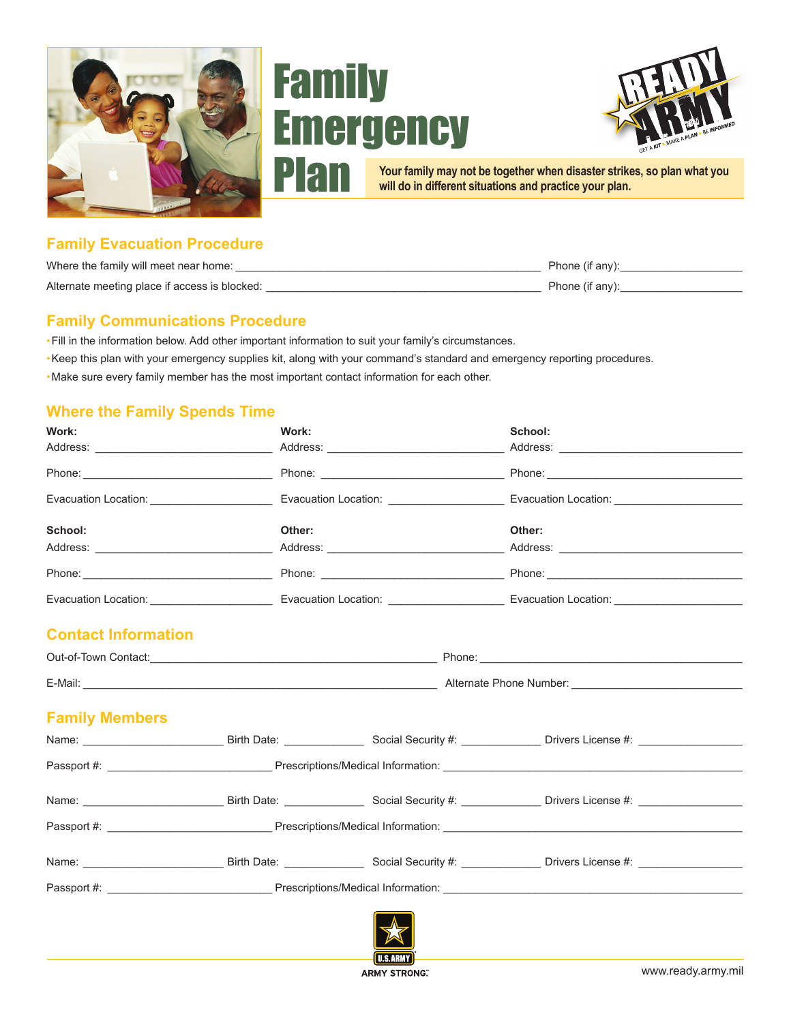





**Your family may not be together when disaster strikes, so plan what you will do in different situations and practice your plan.**

# **Family Evacuation Procedure**

| Where the family will meet near home:         | Phone (if any): |
|-----------------------------------------------|-----------------|
| Alternate meeting place if access is blocked: | Phone (if any): |

### **Family Communications Procedure**

- •Fill in the information below. Add other important information to suit your family's circumstances.
- •Keep this plan with your emergency supplies kit, along with your command's standard and emergency reporting procedures.
- •Make sure every family member has the most important contact information for each other.

## **Where the Family Spends Time**

| Work:                      | Work:  |  | School:                                                                                                                                                                                                                        |  |
|----------------------------|--------|--|--------------------------------------------------------------------------------------------------------------------------------------------------------------------------------------------------------------------------------|--|
|                            |        |  |                                                                                                                                                                                                                                |  |
|                            |        |  |                                                                                                                                                                                                                                |  |
|                            |        |  | Evacuation Location: Evacuation Location Location: Evacuation Location: Evacuation Location: Evacuation Location:                                                                                                              |  |
| School:                    | Other: |  | Other:                                                                                                                                                                                                                         |  |
|                            |        |  |                                                                                                                                                                                                                                |  |
|                            |        |  |                                                                                                                                                                                                                                |  |
|                            |        |  | Evacuation Location: Contract Development Contract Development Contract Development Contract Development Contract Development Contract Development Contract Development Contract Development Contract Development Contract Dev |  |
| <b>Contact Information</b> |        |  |                                                                                                                                                                                                                                |  |
|                            |        |  | Out-of-Town Contact: example and contact: example and contact: example and contact: example and contact: example and contact: example and contact: example and contact: example and contact: example and contact: example and  |  |
|                            |        |  |                                                                                                                                                                                                                                |  |
| <b>Family Members</b>      |        |  |                                                                                                                                                                                                                                |  |
|                            |        |  |                                                                                                                                                                                                                                |  |
|                            |        |  |                                                                                                                                                                                                                                |  |
|                            |        |  | Name: ________________________________Birth Date: ____________________Social Security #: _________________Drivers License #:                                                                                                   |  |
|                            |        |  |                                                                                                                                                                                                                                |  |
|                            |        |  |                                                                                                                                                                                                                                |  |
|                            |        |  |                                                                                                                                                                                                                                |  |
|                            |        |  |                                                                                                                                                                                                                                |  |